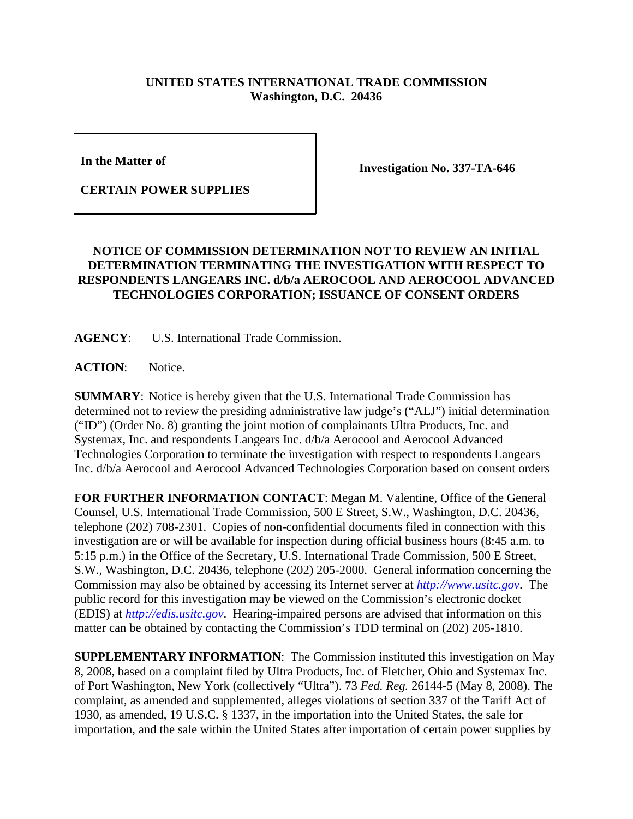## **UNITED STATES INTERNATIONAL TRADE COMMISSION Washington, D.C. 20436**

**In the Matter of** 

**CERTAIN POWER SUPPLIES**

**Investigation No. 337-TA-646**

## **NOTICE OF COMMISSION DETERMINATION NOT TO REVIEW AN INITIAL DETERMINATION TERMINATING THE INVESTIGATION WITH RESPECT TO RESPONDENTS LANGEARS INC. d/b/a AEROCOOL AND AEROCOOL ADVANCED TECHNOLOGIES CORPORATION; ISSUANCE OF CONSENT ORDERS**

**AGENCY**: U.S. International Trade Commission.

**ACTION**: Notice.

**SUMMARY**: Notice is hereby given that the U.S. International Trade Commission has determined not to review the presiding administrative law judge's ("ALJ") initial determination ("ID") (Order No. 8) granting the joint motion of complainants Ultra Products, Inc. and Systemax, Inc. and respondents Langears Inc. d/b/a Aerocool and Aerocool Advanced Technologies Corporation to terminate the investigation with respect to respondents Langears Inc. d/b/a Aerocool and Aerocool Advanced Technologies Corporation based on consent orders

**FOR FURTHER INFORMATION CONTACT**: Megan M. Valentine, Office of the General Counsel, U.S. International Trade Commission, 500 E Street, S.W., Washington, D.C. 20436, telephone (202) 708-2301. Copies of non-confidential documents filed in connection with this investigation are or will be available for inspection during official business hours (8:45 a.m. to 5:15 p.m.) in the Office of the Secretary, U.S. International Trade Commission, 500 E Street, S.W., Washington, D.C. 20436, telephone (202) 205-2000. General information concerning the Commission may also be obtained by accessing its Internet server at *http://www.usitc.gov*. The public record for this investigation may be viewed on the Commission's electronic docket (EDIS) at *http://edis.usitc.gov*. Hearing-impaired persons are advised that information on this matter can be obtained by contacting the Commission's TDD terminal on (202) 205-1810.

**SUPPLEMENTARY INFORMATION**: The Commission instituted this investigation on May 8, 2008, based on a complaint filed by Ultra Products, Inc. of Fletcher, Ohio and Systemax Inc. of Port Washington, New York (collectively "Ultra"). 73 *Fed. Reg.* 26144-5 (May 8, 2008). The complaint, as amended and supplemented, alleges violations of section 337 of the Tariff Act of 1930, as amended, 19 U.S.C. § 1337, in the importation into the United States, the sale for importation, and the sale within the United States after importation of certain power supplies by